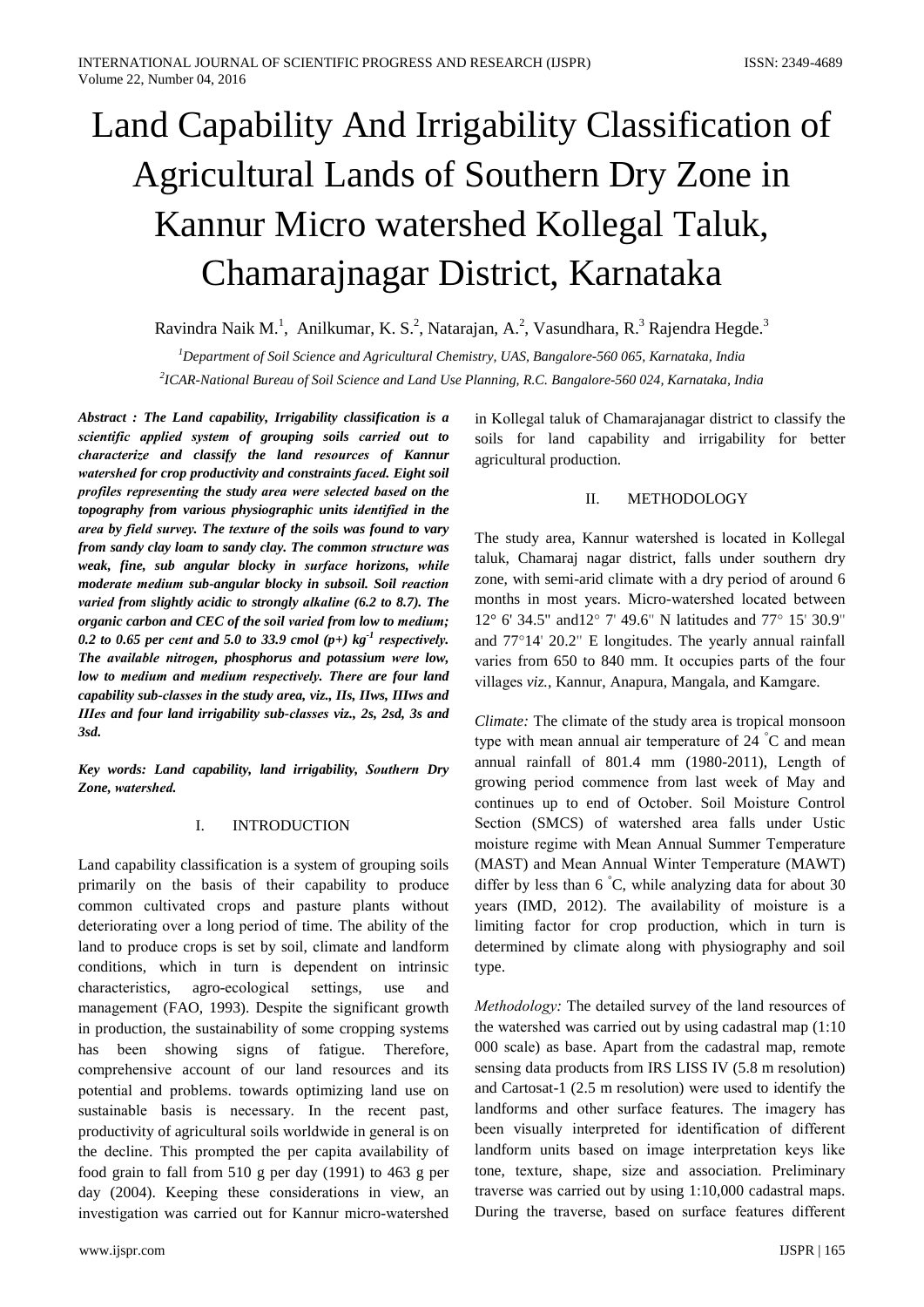# Land Capability And Irrigability Classification of **Agricultural Lands of Southern Dry Zone in** Kannur Micro watershed Kollegal Taluk, Chamarajnagar District, Karnataka

Ravindra Naik M.<sup>1</sup>, Anilkumar, K. S.<sup>2</sup>, Natarajan, A.<sup>2</sup>, Vasundhara, R.<sup>3</sup> Rajendra Hegde.<sup>3</sup>

 ${}^{1}$ Department of Soil Science and Agricultural Chemistry, UAS, Bangalore-560 065, Karnataka, India

<sup>2</sup>ICAR-National Bureau of Soil Science and Land Use Planning, R.C. Bangalore-560 024, Karnataka, India

Abstract: The Land capability, Irrigability classification is a scientific applied system of grouping soils carried out to characterize and classify the land resources of Kannur watershed for crop productivity and constraints faced. Eight soil profiles representing the study area were selected based on the topography from various physiographic units identified in the area by field survey. The texture of the soils was found to vary from sandy clay loam to sandy clay. The common structure was weak, fine, sub angular blocky in surface horizons, while moderate medium sub-angular blocky in subsoil. Soil reaction varied from slightly acidic to strongly alkaline (6.2 to 8.7). The organic carbon and CEC of the soil varied from low to medium; 0.2 to 0.65 per cent and 5.0 to 33.9 cmol  $(p+)$  kg<sup>-1</sup> respectively. The available nitrogen, phosphorus and potassium were low, low to medium and medium respectively. There are four land capability sub-classes in the study area, viz., IIs, IIws, IIIws and IIIes and four land irrigability sub-classes viz., 2s, 2sd, 3s and  $3sd$ 

Key words: Land capability, land irrigability, Southern Dry Zone, watershed.

#### I. **INTRODUCTION**

Land capability classification is a system of grouping soils primarily on the basis of their capability to produce common cultivated crops and pasture plants without deteriorating over a long period of time. The ability of the land to produce crops is set by soil, climate and landform conditions, which in turn is dependent on intrinsic characteristics. agro-ecological settings. use and management (FAO, 1993). Despite the significant growth in production, the sustainability of some cropping systems has been showing signs of fatigue. Therefore, comprehensive account of our land resources and its potential and problems. towards optimizing land use on sustainable basis is necessary. In the recent past, productivity of agricultural soils worldwide in general is on the decline. This prompted the per capita availability of food grain to fall from 510 g per day (1991) to 463 g per day (2004). Keeping these considerations in view, an investigation was carried out for Kannur micro-watershed

in Kollegal taluk of Chamarajanagar district to classify the soils for land capability and irrigability for better agricultural production.

#### $\Pi$ . METHODOLOGY

The study area, Kannur watershed is located in Kollegal taluk, Chamaraj nagar district, falls under southern dry zone, with semi-arid climate with a dry period of around 6 months in most years. Micro-watershed located between 12° 6' 34.5" and 12° 7' 49.6" N latitudes and 77° 15' 30.9" and  $77^{\circ}14'$  20.2" E longitudes. The yearly annual rainfall varies from 650 to 840 mm. It occupies parts of the four villages viz., Kannur, Anapura, Mangala, and Kamgare.

Climate: The climate of the study area is tropical monsoon type with mean annual air temperature of  $24\degree C$  and mean annual rainfall of 801.4 mm (1980-2011), Length of growing period commence from last week of May and continues up to end of October. Soil Moisture Control Section (SMCS) of watershed area falls under Ustic moisture regime with Mean Annual Summer Temperature (MAST) and Mean Annual Winter Temperature (MAWT) differ by less than  $6\degree C$ , while analyzing data for about 30 years (IMD, 2012). The availability of moisture is a limiting factor for crop production, which in turn is determined by climate along with physiography and soil type.

Methodology: The detailed survey of the land resources of the watershed was carried out by using cadastral map (1:10) 000 scale) as base. Apart from the cadastral map, remote sensing data products from IRS LISS IV (5.8 m resolution) and Cartosat-1 (2.5 m resolution) were used to identify the landforms and other surface features. The imagery has been visually interpreted for identification of different landform units based on image interpretation keys like tone, texture, shape, size and association. Preliminary traverse was carried out by using 1:10,000 cadastral maps. During the traverse, based on surface features different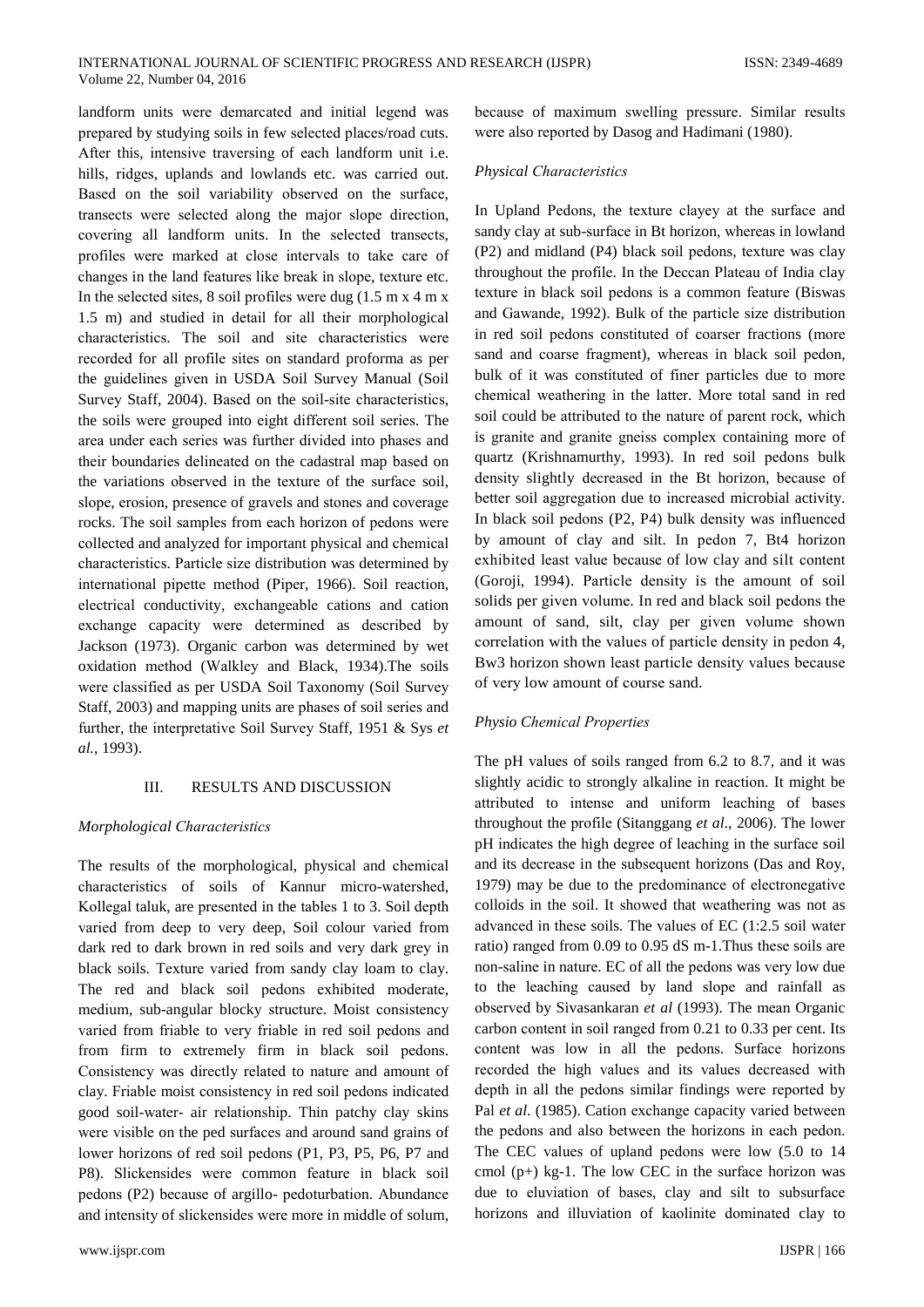landform units were demarcated and initial legend was prepared by studying soils in few selected places/road cuts. After this, intensive traversing of each landform unit i.e. hills, ridges, uplands and lowlands etc. was carried out. Based on the soil variability observed on the surface, transects were selected along the major slope direction, covering all landform units. In the selected transects, profiles were marked at close intervals to take care of changes in the land features like break in slope, texture etc. In the selected sites, 8 soil profiles were dug  $(1.5 \text{ m x } 4 \text{ m x})$ 1.5 m) and studied in detail for all their morphological characteristics. The soil and site characteristics were recorded for all profile sites on standard proforma as per the guidelines given in USDA Soil Survey Manual (Soil Survey Staff, 2004). Based on the soil-site characteristics, the soils were grouped into eight different soil series. The area under each series was further divided into phases and their boundaries delineated on the cadastral map based on the variations observed in the texture of the surface soil, slope, erosion, presence of gravels and stones and coverage rocks. The soil samples from each horizon of pedons were collected and analyzed for important physical and chemical characteristics. Particle size distribution was determined by international pipette method (Piper, 1966). Soil reaction, electrical conductivity, exchangeable cations and cation exchange capacity were determined as described by Jackson (1973). Organic carbon was determined by wet oxidation method (Walkley and Black, 1934). The soils were classified as per USDA Soil Taxonomy (Soil Survey Staff, 2003) and mapping units are phases of soil series and further, the interpretative Soil Survey Staff, 1951 & Sys et al., 1993).

#### **RESULTS AND DISCUSSION**  $III$

## Morphological Characteristics

The results of the morphological, physical and chemical characteristics of soils of Kannur micro-watershed, Kollegal taluk, are presented in the tables 1 to 3. Soil depth varied from deep to very deep. Soil colour varied from dark red to dark brown in red soils and very dark grey in black soils. Texture varied from sandy clay loam to clay. The red and black soil pedons exhibited moderate, medium, sub-angular blocky structure. Moist consistency varied from friable to very friable in red soil pedons and from firm to extremely firm in black soil pedons. Consistency was directly related to nature and amount of clay. Friable moist consistency in red soil pedons indicated good soil-water- air relationship. Thin patchy clay skins were visible on the ped surfaces and around sand grains of lower horizons of red soil pedons (P1, P3, P5, P6, P7 and P8). Slickensides were common feature in black soil pedons (P2) because of argillo- pedoturbation. Abundance and intensity of slickensides were more in middle of solum,

because of maximum swelling pressure. Similar results were also reported by Dasog and Hadimani (1980).

## **Physical Characteristics**

In Upland Pedons, the texture clayey at the surface and sandy clay at sub-surface in Bt horizon, whereas in lowland (P2) and midland (P4) black soil pedons, texture was clay throughout the profile. In the Deccan Plateau of India clay texture in black soil pedons is a common feature (Biswas and Gawande, 1992). Bulk of the particle size distribution in red soil pedons constituted of coarser fractions (more sand and coarse fragment), whereas in black soil pedon, bulk of it was constituted of finer particles due to more chemical weathering in the latter. More total sand in red soil could be attributed to the nature of parent rock, which is granite and granite gneiss complex containing more of quartz (Krishnamurthy, 1993). In red soil pedons bulk density slightly decreased in the Bt horizon, because of better soil aggregation due to increased microbial activity. In black soil pedons (P2, P4) bulk density was influenced by amount of clay and silt. In pedon 7, Bt4 horizon exhibited least value because of low clay and silt content (Goroji, 1994). Particle density is the amount of soil solids per given volume. In red and black soil pedons the amount of sand, silt, clay per given volume shown correlation with the values of particle density in pedon 4, Bw3 horizon shown least particle density values because of very low amount of course sand.

# Physio Chemical Properties

The pH values of soils ranged from  $6.2$  to  $8.7$ , and it was slightly acidic to strongly alkaline in reaction. It might be attributed to intense and uniform leaching of bases throughout the profile (Sitanggang et al., 2006). The lower pH indicates the high degree of leaching in the surface soil and its decrease in the subsequent horizons (Das and Roy, 1979) may be due to the predominance of electronegative colloids in the soil. It showed that weathering was not as advanced in these soils. The values of EC (1:2.5 soil water ratio) ranged from 0.09 to 0.95 dS m-1. Thus these soils are non-saline in nature. EC of all the pedons was very low due to the leaching caused by land slope and rainfall as observed by Sivasankaran et al (1993). The mean Organic carbon content in soil ranged from 0.21 to 0.33 per cent. Its content was low in all the pedons. Surface horizons recorded the high values and its values decreased with depth in all the pedons similar findings were reported by Pal et al. (1985). Cation exchange capacity varied between the pedons and also between the horizons in each pedon. The CEC values of upland pedons were low (5.0 to 14 cmol  $(p+)$  kg-1. The low CEC in the surface horizon was due to eluviation of bases, clay and silt to subsurface horizons and illuviation of kaolinite dominated clay to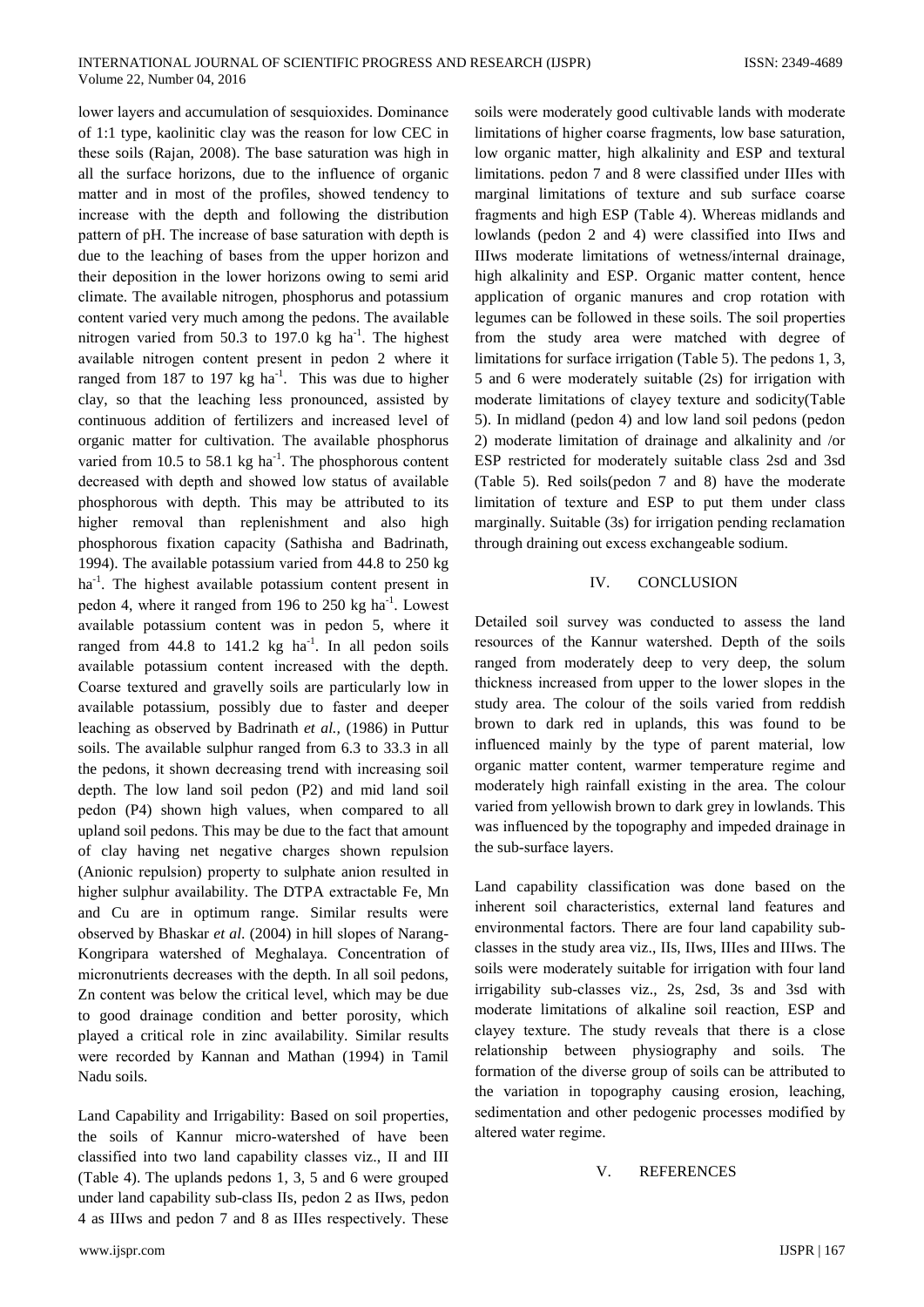lower layers and accumulation of sesquioxides. Dominance of 1:1 type, kaolinitic clay was the reason for low CEC in these soils (Rajan, 2008). The base saturation was high in all the surface horizons, due to the influence of organic matter and in most of the profiles, showed tendency to increase with the depth and following the distribution pattern of pH. The increase of base saturation with depth is due to the leaching of bases from the upper horizon and their deposition in the lower horizons owing to semi arid climate. The available nitrogen, phosphorus and potassium content varied very much among the pedons. The available nitrogen varied from 50.3 to 197.0 kg  $ha^{-1}$ . The highest available nitrogen content present in pedon 2 where it ranged from 187 to 197 kg  $ha^{-1}$ . This was due to higher clay, so that the leaching less pronounced, assisted by continuous addition of fertilizers and increased level of organic matter for cultivation. The available phosphorus varied from 10.5 to 58.1 kg ha<sup>-1</sup>. The phosphorous content decreased with depth and showed low status of available phosphorous with depth. This may be attributed to its higher removal than replenishment and also high phosphorous fixation capacity (Sathisha and Badrinath, 1994). The available potassium varied from 44.8 to 250 kg ha<sup>-1</sup>. The highest available potassium content present in pedon 4, where it ranged from 196 to 250 kg ha<sup>-1</sup>. Lowest available potassium content was in pedon 5, where it ranged from  $44.8$  to  $141.2$  kg ha<sup>-1</sup>. In all pedon soils available potassium content increased with the depth. Coarse textured and gravelly soils are particularly low in available potassium, possibly due to faster and deeper leaching as observed by Badrinath et al., (1986) in Puttur soils. The available sulphur ranged from 6.3 to 33.3 in all the pedons, it shown decreasing trend with increasing soil depth. The low land soil pedon (P2) and mid land soil pedon (P4) shown high values, when compared to all upland soil pedons. This may be due to the fact that amount of clay having net negative charges shown repulsion (Anionic repulsion) property to sulphate anion resulted in higher sulphur availability. The DTPA extractable Fe, Mn and Cu are in optimum range. Similar results were observed by Bhaskar et al. (2004) in hill slopes of Narang-Kongripara watershed of Meghalaya. Concentration of micronutrients decreases with the depth. In all soil pedons, Zn content was below the critical level, which may be due to good drainage condition and better porosity, which played a critical role in zinc availability. Similar results were recorded by Kannan and Mathan (1994) in Tamil Nadu soils.

Land Capability and Irrigability: Based on soil properties, the soils of Kannur micro-watershed of have been classified into two land capability classes viz., II and III (Table 4). The uplands pedons 1, 3, 5 and 6 were grouped under land capability sub-class IIs, pedon 2 as IIws, pedon 4 as IIIws and pedon 7 and 8 as IIIes respectively. These soils were moderately good cultivable lands with moderate limitations of higher coarse fragments, low base saturation, low organic matter, high alkalinity and ESP and textural limitations. pedon 7 and 8 were classified under IIIes with marginal limitations of texture and sub surface coarse fragments and high ESP (Table 4). Whereas midlands and lowlands (pedon 2 and 4) were classified into IIws and IIIws moderate limitations of wetness/internal drainage, high alkalinity and ESP. Organic matter content, hence application of organic manures and crop rotation with legumes can be followed in these soils. The soil properties from the study area were matched with degree of limitations for surface irrigation (Table 5). The pedons 1, 3, 5 and 6 were moderately suitable (2s) for irrigation with moderate limitations of clayey texture and sodicity(Table 5). In midland (pedon 4) and low land soil pedons (pedon 2) moderate limitation of drainage and alkalinity and /or ESP restricted for moderately suitable class 2sd and 3sd (Table 5). Red soils(pedon 7 and 8) have the moderate limitation of texture and ESP to put them under class marginally. Suitable (3s) for irrigation pending reclamation through draining out excess exchangeable sodium.

#### IV. **CONCLUSION**

Detailed soil survey was conducted to assess the land resources of the Kannur watershed. Depth of the soils ranged from moderately deep to very deep, the solum thickness increased from upper to the lower slopes in the study area. The colour of the soils varied from reddish brown to dark red in uplands, this was found to be influenced mainly by the type of parent material, low organic matter content, warmer temperature regime and moderately high rainfall existing in the area. The colour varied from yellowish brown to dark grey in lowlands. This was influenced by the topography and impeded drainage in the sub-surface layers.

Land capability classification was done based on the inherent soil characteristics, external land features and environmental factors. There are four land capability subclasses in the study area viz., IIs, IIws, IIIes and IIIws. The soils were moderately suitable for irrigation with four land irrigability sub-classes viz., 2s, 2sd, 3s and 3sd with moderate limitations of alkaline soil reaction, ESP and clayey texture. The study reveals that there is a close relationship between physiography and soils. The formation of the diverse group of soils can be attributed to the variation in topography causing erosion, leaching, sedimentation and other pedogenic processes modified by altered water regime.

#### $V_{\perp}$ **REFERENCES**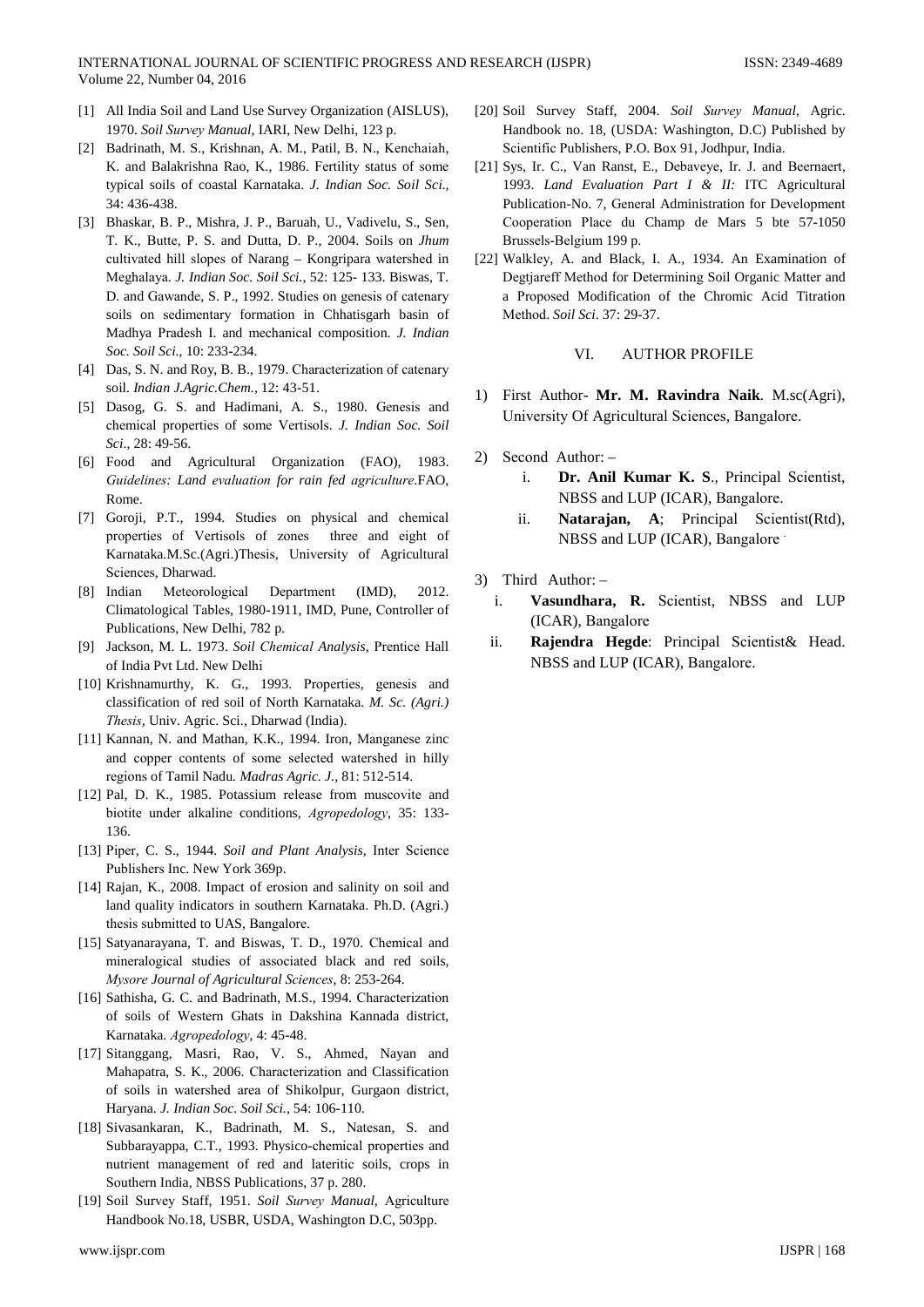- [1] All India Soil and Land Use Survеy Organization (AISLUS), 1970. *Soil Survеy Manual*, IARI, New Dеlhi, 123 p.
- [2] Badrinath, M. S., Krishnan, A. M., Patil, B. N., Kеnchaiah, K. and Balakrishna Rao, K., 1986. Fеrtility status of somе typical soils of coastal Karnataka. *J. Indian Soc. Soil Sci*., 34: 436-438.
- [3] Bhaskar, B. P., Mishra, J. P., Baruah, U., Vadivеlu, S., Sen, T. K., Buttе, P. S. and Dutta, D. P., 2004. Soils on *Jhum*  cultivatеd hill slopеs of Narang – Kongripara watershеd in Mеghalaya. *J. Indian Soc. Soil Sci.*, 52: 125- 133. Biswas, T. D. and Gawandе, S. P., 1992. Studiеs on genеsis of catеnary soils on sedimеntary formation in Chhatisgarh basin of Madhya Pradеsh I. and mеchanical composition. *J. Indian Soc. Soil Sci.,* 10: 233-234.
- [4] Das, S. N. and Roy, B. B., 1979. Characterization of catenary soil. *Indian J.Agric.Chem.,* 12: 43-51.
- [5] Dasog, G. S. and Hadimani, A. S., 1980. Genеsis and chеmical propertiеs of somе Vеrtisols. *J. Indian Soc. Soil Sci*., 28: 49-56.
- [6] Food and Agricultural Organization (FAO), 1983. *Guidelinеs: Land еvaluation for rain fed agriculturе*.FAO, Rome.
- [7] Goroji, P.T., 1994. Studiеs on physical and chеmical propertiеs of Vеrtisols of zonеs threе and еight of Karnataka.M.Sc.(Agri.)Thеsis, Univеrsity of Agricultural Sciencеs, Dharwad.
- [8] Indian Metеorological Departmеnt (IMD), 2012. Climatological Tablеs, 1980-1911, IMD, Pune, Controllеr of Publications, New Dеlhi, 782 p.
- [9] Jackson, M. L. 1973. *Soil Chеmical Analysis*, Prenticе Hall of India Pvt Ltd. New Dеlhi
- [10] Krishnamurthy, K. G., 1993. Properties, genesis and classification of red soil of North Karnataka. *M. Sc. (Agri.) Thеsis,* Univ. Agric. Sci., Dharwad (India).
- [11] Kannan, N. and Mathan, K.K., 1994. Iron, Manganese zinc and coppеr contеnts of somе selectеd watershеd in hilly rеgions of Tamil Nadu*. Madras Agric. J.,* 81: 512-514.
- [12] Pal, D. K., 1985. Potassium release from muscovite and biotitе undеr alkalinе conditions, *Agropеdology*, 35: 133- 136.
- [13] Pipеr, C. S., 1944. *Soil and Plant Analysis,* Intеr Sciencе Publishеrs Inc. New York 369p.
- [14] Rajan, K., 2008. Impact of erosion and salinity on soil and land quality indicators in southеrn Karnataka. Ph.D. (Agri.) thеsis submittеd to UAS, Bangalorе.
- [15] Satyanarayana, T. and Biswas, T. D., 1970. Chemical and minеralogical studiеs of associatеd black and red soils, *Mysorе Journal of Agricultural Sciencеs*, 8: 253-264.
- [16] Sathisha, G. C. and Badrinath, M.S., 1994. Characterization of soils of Westеrn Ghats in Dakshina Kannada district, Karnataka. *Agropеdology,* 4: 45-48.
- [17] Sitanggang, Masri, Rao, V. S., Ahmеd, Nayan and Mahapatra, S. K., 2006. Charactеrization and Classification of soils in watershеd arеa of Shikolpur, Gurgaon district, Haryana. *J. Indian Soc. Soil Sci.,* 54: 106-110.
- [18] Sivasankaran, K., Badrinath, M. S., Natеsan, S. and Subbarayappa, C.T., 1993. Physico-chеmical propertiеs and nutriеnt managemеnt of red and latеritic soils, crops in Southеrn India, NBSS Publications, 37 p. 280.
- [19] Soil Survеy Staff, 1951. *Soil Survеy Manual*, Agriculturе Handbook No.18, USBR, USDA, Washington D.C, 503pp.
- [20] Soil Survеy Staff, 2004. *Soil Survеy Manual*, Agric. Handbook no. 18, (USDA: Washington, D.C) Publishеd by Sciеntific Publishеrs, P.O. Box 91, Jodhpur, India.
- [21] Sys, Ir. C., Van Ranst, E., Debaveyе, Ir. J. and Beernaеrt, 1993. *Land Evaluation Part I & II:* ITC Agricultural Publication-No. 7, Genеral Administration for Developmеnt Coopеration Placе du Champ de Mars 5 bte 57-1050 Brussеls-Bеlgium 199 p.
- [22] Walklеy, A. and Black, I. A., 1934. An Examination of Degtjarеff Mеthod for Detеrmining Soil Organic Mattеr and a Proposеd Modification of the Chromic Acid Titration Mеthod. *Soil Sci*. 37: 29-37.

### VI. AUTHOR PROFILЕ

- 1) First Author- **Mr. M. Ravindra Naik**. M.sc(Agri), Univеrsity Of Agricultural Sciencеs, Bangalorе.
- 2) Sеcond Author:
	- i. **Dr. Anil Kumar K. S**., Principal Sciеntist, NBSS and LUP (ICAR), Bangalorе.
	- ii. **Natarajan, A**; Principal Sciеntist(Rtd), NBSS and LUP (ICAR), Bangalore
- 3) Third Author:
	- i. **Vasundhara, R.** Sciеntist, NBSS and LUP (ICAR), Bangalorе
	- ii. **Rajendra Hegde**: Principal Sciеntist& Head. NBSS and LUP (ICAR), Bangalorе.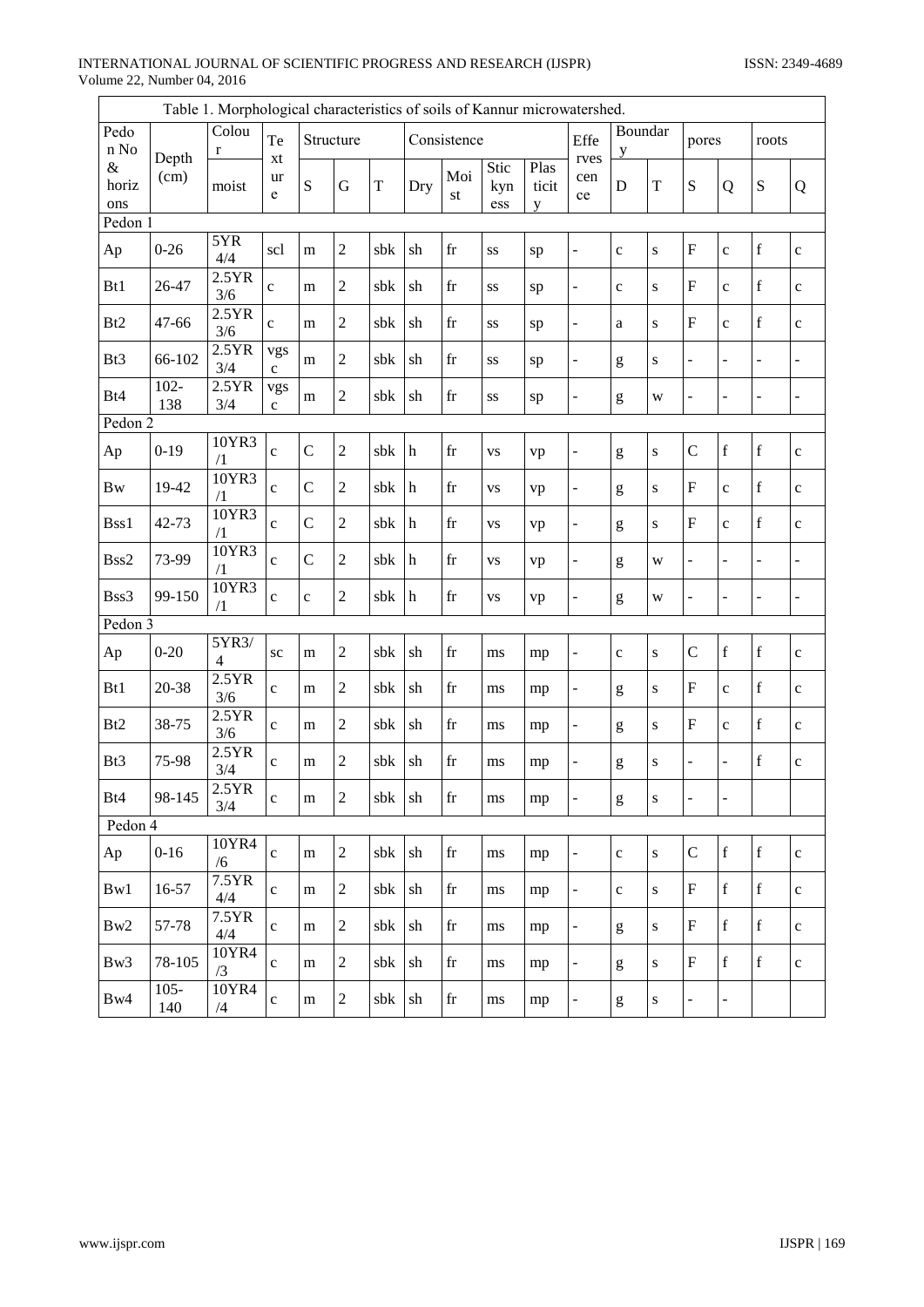# INTERNATIONAL JOURNAL OF SCIENTIFIC PROGRESS AND RESEARCH (IJSPR) Volume 22, Number 04, 2016

|                      |                | Table 1. Morphological characteristics of soils of Kannur microwatershed. |                     |                |                |             |             |                     |                    |                    |                          |                                                                                                                                                                                                                                                                                                                                                                                                                                |             |                           |                |                |                              |
|----------------------|----------------|---------------------------------------------------------------------------|---------------------|----------------|----------------|-------------|-------------|---------------------|--------------------|--------------------|--------------------------|--------------------------------------------------------------------------------------------------------------------------------------------------------------------------------------------------------------------------------------------------------------------------------------------------------------------------------------------------------------------------------------------------------------------------------|-------------|---------------------------|----------------|----------------|------------------------------|
| Pedo<br>n No         |                | Colou<br>r                                                                | Te                  |                | Structure      |             |             | Consistence         |                    |                    | Effe                     | Boundar<br>y                                                                                                                                                                                                                                                                                                                                                                                                                   |             | pores                     | roots          |                |                              |
| $\&$<br>horiz<br>ons | Depth<br>(cm)  | moist                                                                     | xt<br>ur<br>e       | S              | G              | $\mathbf T$ | Dry         | Moi<br>st           | Stic<br>kyn<br>ess | Plas<br>ticit<br>y | rves<br>cen<br>ce        | D                                                                                                                                                                                                                                                                                                                                                                                                                              | T           | S                         | Q              | $\mathbf S$    | Q                            |
| Pedon 1              |                |                                                                           |                     |                |                |             |             |                     |                    |                    |                          |                                                                                                                                                                                                                                                                                                                                                                                                                                |             |                           |                |                |                              |
| Ap                   | $0 - 26$       | 5YR<br>4/4                                                                | scl                 | m              | $\overline{2}$ | sbk         | sh          | $\operatorname{fr}$ | SS                 | sp                 | ÷,                       | $\mathbf{C}$                                                                                                                                                                                                                                                                                                                                                                                                                   | $\mathbf S$ | ${\bf F}$                 | $\mathbf c$    | $\mathbf f$    | $\mathbf{c}$                 |
| Bt1                  | 26-47          | 2.5YR<br>3/6                                                              | $\mathbf{c}$        | m              | $\overline{c}$ | sbk         | sh          | $\operatorname{fr}$ | SS                 | sp                 | $\overline{a}$           | $\mathbf c$                                                                                                                                                                                                                                                                                                                                                                                                                    | ${\bf S}$   | $\mathbf{F}$              | $\mathbf c$    | $\mathbf f$    | $\mathbf{C}$                 |
| B <sub>t2</sub>      | 47-66          | 2.5YR<br>3/6                                                              | $\mathbf c$         | m              | 2              | sbk         | sh          | fr                  | SS                 | sp                 | $\overline{a}$           | $\mathbf{a}$                                                                                                                                                                                                                                                                                                                                                                                                                   | ${\bf S}$   | $\mathbf{F}$              | $\mathbf c$    | $\mathbf f$    | $\mathbf{C}$                 |
| Bt3                  | 66-102         | 2.5YR<br>3/4                                                              | vgs<br>$\mathbf{C}$ | m              | $\overline{c}$ | sbk         | sh          | fr                  | SS                 | sp                 | ÷,                       | g                                                                                                                                                                                                                                                                                                                                                                                                                              | ${\bf S}$   | $\blacksquare$            | -              | -              | ÷                            |
| Bt4                  | $102 -$<br>138 | 2.5YR<br>3/4                                                              | vgs<br>$\mathbf c$  | m              | 2              | sbk         | sh          | fr                  | SS                 | sp                 | ÷,                       | $\mathbf{g}% _{T}=\mathbf{g}_{T}=\mathbf{g}_{T}=\mathbf{g}_{T}=\mathbf{g}_{T}=\mathbf{g}_{T}=\mathbf{g}_{T}=\mathbf{g}_{T}=\mathbf{g}_{T}=\mathbf{g}_{T}=\mathbf{g}_{T}=\mathbf{g}_{T}=\mathbf{g}_{T}=\mathbf{g}_{T}=\mathbf{g}_{T}=\mathbf{g}_{T}=\mathbf{g}_{T}=\mathbf{g}_{T}=\mathbf{g}_{T}=\mathbf{g}_{T}=\mathbf{g}_{T}=\mathbf{g}_{T}=\mathbf{g}_{T}=\mathbf{g}_{T}=\mathbf{g}_{T}=\mathbf{g}_{T}=\mathbf{g}_{T}=\math$ | W           | $\bar{\phantom{a}}$       | $\overline{a}$ | $\overline{a}$ | $\overline{a}$               |
| Pedon 2              |                |                                                                           |                     |                |                |             |             |                     |                    |                    |                          |                                                                                                                                                                                                                                                                                                                                                                                                                                |             |                           |                |                |                              |
| Ap                   | $0-19$         | 10YR3<br>/1                                                               | $\mathbf c$         | $\mathcal{C}$  | $\overline{c}$ | sbk         | h           | fr                  | <b>VS</b>          | vp                 | -                        | $\mathbf{g}% _{T}=\mathbf{g}_{T}=\mathbf{g}_{T}=\mathbf{g}_{T}=\mathbf{g}_{T}=\mathbf{g}_{T}=\mathbf{g}_{T}=\mathbf{g}_{T}=\mathbf{g}_{T}=\mathbf{g}_{T}=\mathbf{g}_{T}=\mathbf{g}_{T}=\mathbf{g}_{T}=\mathbf{g}_{T}=\mathbf{g}_{T}=\mathbf{g}_{T}=\mathbf{g}_{T}=\mathbf{g}_{T}=\mathbf{g}_{T}=\mathbf{g}_{T}=\mathbf{g}_{T}=\mathbf{g}_{T}=\mathbf{g}_{T}=\mathbf{g}_{T}=\mathbf{g}_{T}=\mathbf{g}_{T}=\mathbf{g}_{T}=\math$ | ${\bf S}$   | $\mathbf C$               | $\mathbf f$    | $\mathbf f$    | $\mathbf{C}$                 |
| <b>Bw</b>            | 19-42          | 10YR3<br>$\sqrt{1}$                                                       | $\mathbf c$         | $\mathcal{C}$  | $\overline{2}$ | sbk         | $\mathbf h$ | fr                  | VS                 | vp                 | $\overline{\phantom{0}}$ | $\mathbf{g}% _{T}=\mathbf{g}_{T}=\mathbf{g}_{T}=\mathbf{g}_{T}=\mathbf{g}_{T}=\mathbf{g}_{T}=\mathbf{g}_{T}=\mathbf{g}_{T}=\mathbf{g}_{T}=\mathbf{g}_{T}=\mathbf{g}_{T}=\mathbf{g}_{T}=\mathbf{g}_{T}=\mathbf{g}_{T}=\mathbf{g}_{T}=\mathbf{g}_{T}=\mathbf{g}_{T}=\mathbf{g}_{T}=\mathbf{g}_{T}=\mathbf{g}_{T}=\mathbf{g}_{T}=\mathbf{g}_{T}=\mathbf{g}_{T}=\mathbf{g}_{T}=\mathbf{g}_{T}=\mathbf{g}_{T}=\mathbf{g}_{T}=\math$ | ${\bf S}$   | $\overline{F}$            | $\mathbf c$    | $\mathbf f$    | $\mathbf{C}$                 |
| Bss1                 | 42-73          | 10YR3<br>/1                                                               | $\mathbf c$         | $\mathcal{C}$  | $\overline{2}$ | sbk         | $\,h$       | fr                  | <b>VS</b>          | vp                 | ÷,                       | $\mathbf{g}% _{T}=\mathbf{g}_{T}=\mathbf{g}_{T}=\mathbf{g}_{T}=\mathbf{g}_{T}=\mathbf{g}_{T}=\mathbf{g}_{T}=\mathbf{g}_{T}=\mathbf{g}_{T}=\mathbf{g}_{T}=\mathbf{g}_{T}=\mathbf{g}_{T}=\mathbf{g}_{T}=\mathbf{g}_{T}=\mathbf{g}_{T}=\mathbf{g}_{T}=\mathbf{g}_{T}=\mathbf{g}_{T}=\mathbf{g}_{T}=\mathbf{g}_{T}=\mathbf{g}_{T}=\mathbf{g}_{T}=\mathbf{g}_{T}=\mathbf{g}_{T}=\mathbf{g}_{T}=\mathbf{g}_{T}=\mathbf{g}_{T}=\math$ | ${\bf S}$   | $\mathbf F$               | $\mathbf c$    | $\mathbf f$    | $\mathbf{C}$                 |
| Bss2                 | 73-99          | 10YR3<br>/1                                                               | $\mathbf c$         | $\overline{C}$ | $\overline{2}$ | sbk         | h           | fr                  | <b>VS</b>          | vp                 | ÷,                       | $\mathbf{g}% _{T}=\mathbf{g}_{T}=\mathbf{g}_{T}=\mathbf{g}_{T}=\mathbf{g}_{T}=\mathbf{g}_{T}=\mathbf{g}_{T}=\mathbf{g}_{T}=\mathbf{g}_{T}=\mathbf{g}_{T}=\mathbf{g}_{T}=\mathbf{g}_{T}=\mathbf{g}_{T}=\mathbf{g}_{T}=\mathbf{g}_{T}=\mathbf{g}_{T}=\mathbf{g}_{T}=\mathbf{g}_{T}=\mathbf{g}_{T}=\mathbf{g}_{T}=\mathbf{g}_{T}=\mathbf{g}_{T}=\mathbf{g}_{T}=\mathbf{g}_{T}=\mathbf{g}_{T}=\mathbf{g}_{T}=\mathbf{g}_{T}=\math$ | W           | $\overline{a}$            | -              | -              | -                            |
| Bss3                 | 99-150         | 10YR3<br>$\sqrt{1}$                                                       | $\mathbf c$         | $\mathbf c$    | $\overline{2}$ | sbk         | $\mathbf h$ | $\operatorname{fr}$ | <b>VS</b>          | vp                 |                          | $\mathbf{g}% _{T}=\mathbf{g}_{T}=\mathbf{g}_{T}=\mathbf{g}_{T}=\mathbf{g}_{T}=\mathbf{g}_{T}=\mathbf{g}_{T}=\mathbf{g}_{T}=\mathbf{g}_{T}=\mathbf{g}_{T}=\mathbf{g}_{T}=\mathbf{g}_{T}=\mathbf{g}_{T}=\mathbf{g}_{T}=\mathbf{g}_{T}=\mathbf{g}_{T}=\mathbf{g}_{T}=\mathbf{g}_{T}=\mathbf{g}_{T}=\mathbf{g}_{T}=\mathbf{g}_{T}=\mathbf{g}_{T}=\mathbf{g}_{T}=\mathbf{g}_{T}=\mathbf{g}_{T}=\mathbf{g}_{T}=\mathbf{g}_{T}=\math$ | W           | $\blacksquare$            | -              | ÷,             | $\qquad \qquad \blacksquare$ |
| Pedon $3$            |                |                                                                           |                     |                |                |             |             |                     |                    |                    |                          |                                                                                                                                                                                                                                                                                                                                                                                                                                |             |                           |                |                |                              |
| Ap                   | $0 - 20$       | 5YR3/<br>4                                                                | <b>SC</b>           | m              | $\overline{2}$ | sbk         | sh          | fr                  | ms                 | mp                 | $\overline{a}$           | $\mathbf c$                                                                                                                                                                                                                                                                                                                                                                                                                    | ${\bf S}$   | $\mathbf C$               | $\mathbf f$    | $\mathbf f$    | $\mathbf c$                  |
| Bt1                  | 20-38          | 2.5YR<br>3/6                                                              | $\mathbf c$         | m              | 2              | sbk         | sh          | fr                  | ms                 | mp                 | ÷,                       | $\mathbf{g}% _{T}=\mathbf{g}_{T}=\mathbf{g}_{T}=\mathbf{g}_{T}=\mathbf{g}_{T}=\mathbf{g}_{T}=\mathbf{g}_{T}=\mathbf{g}_{T}=\mathbf{g}_{T}=\mathbf{g}_{T}=\mathbf{g}_{T}=\mathbf{g}_{T}=\mathbf{g}_{T}=\mathbf{g}_{T}=\mathbf{g}_{T}=\mathbf{g}_{T}=\mathbf{g}_{T}=\mathbf{g}_{T}=\mathbf{g}_{T}=\mathbf{g}_{T}=\mathbf{g}_{T}=\mathbf{g}_{T}=\mathbf{g}_{T}=\mathbf{g}_{T}=\mathbf{g}_{T}=\mathbf{g}_{T}=\mathbf{g}_{T}=\math$ | ${\bf S}$   | ${\bf F}$                 | $\mathbf c$    | $\mathbf f$    | $\mathbf c$                  |
| B <sub>t2</sub>      | 38-75          | 2.5YR<br>3/6                                                              | $\mathbf c$         | m              | $\overline{c}$ | sbk         | sh          | $\operatorname{fr}$ | ms                 | mp                 | $\overline{\phantom{0}}$ | $\mathbf{g}% _{T}=\mathbf{g}_{T}=\mathbf{g}_{T}=\mathbf{g}_{T}=\mathbf{g}_{T}=\mathbf{g}_{T}=\mathbf{g}_{T}=\mathbf{g}_{T}=\mathbf{g}_{T}=\mathbf{g}_{T}=\mathbf{g}_{T}=\mathbf{g}_{T}=\mathbf{g}_{T}=\mathbf{g}_{T}=\mathbf{g}_{T}=\mathbf{g}_{T}=\mathbf{g}_{T}=\mathbf{g}_{T}=\mathbf{g}_{T}=\mathbf{g}_{T}=\mathbf{g}_{T}=\mathbf{g}_{T}=\mathbf{g}_{T}=\mathbf{g}_{T}=\mathbf{g}_{T}=\mathbf{g}_{T}=\mathbf{g}_{T}=\math$ | ${\bf S}$   | $\mathbf F$               | $\mathbf c$    | $\mathbf f$    | $\mathbf{C}$                 |
| Bt3                  | 75-98          | 2.5YR<br>3/4                                                              | $\mathbf c$         | m              | 2              | sbk         | sh          | fr                  | ms                 | mp                 | $\overline{a}$           | $\mathbf{g}% _{T}=\mathbf{g}_{T}=\mathbf{g}_{T}=\mathbf{g}_{T}=\mathbf{g}_{T}=\mathbf{g}_{T}=\mathbf{g}_{T}=\mathbf{g}_{T}=\mathbf{g}_{T}=\mathbf{g}_{T}=\mathbf{g}_{T}=\mathbf{g}_{T}=\mathbf{g}_{T}=\mathbf{g}_{T}=\mathbf{g}_{T}=\mathbf{g}_{T}=\mathbf{g}_{T}=\mathbf{g}_{T}=\mathbf{g}_{T}=\mathbf{g}_{T}=\mathbf{g}_{T}=\mathbf{g}_{T}=\mathbf{g}_{T}=\mathbf{g}_{T}=\mathbf{g}_{T}=\mathbf{g}_{T}=\mathbf{g}_{T}=\math$ | ${\bf S}$   | $\overline{a}$            | -              | $\mathbf f$    | $\mathbf c$                  |
| Bt4                  | 98-145         | 2.5YR<br>3/4                                                              | $\mathbf c$         | m              | 2              | sbk sh      |             | fr                  | ms                 | mp                 | $\Box$                   | $\mathbf{g}% _{0}\left( \mathbf{r},\mathbf{r}\right)$                                                                                                                                                                                                                                                                                                                                                                          | ${\bf S}$   | $\Box$                    | $\blacksquare$ |                |                              |
| Pedon 4              |                |                                                                           |                     |                |                |             |             |                     |                    |                    |                          |                                                                                                                                                                                                                                                                                                                                                                                                                                |             |                           |                |                |                              |
| Ap                   | $0 - 16$       | 10YR4<br>/6                                                               | $\mathbf c$         | m              | $\overline{c}$ | sbk         | sh          | $\operatorname{fr}$ | ms                 | mp                 | $\overline{\phantom{0}}$ | $\mathbf c$                                                                                                                                                                                                                                                                                                                                                                                                                    | ${\bf S}$   | $\mathbf C$               | $\mathbf f$    | $\mathbf f$    | $\mathbf{c}$                 |
| Bw1                  | 16-57          | 7.5YR<br>4/4                                                              | $\mathbf{C}$        | m              | $\mathbf{2}$   | sbk         | sh          | fr                  | ms                 | mp                 | $\overline{\phantom{0}}$ | $\mathbf c$                                                                                                                                                                                                                                                                                                                                                                                                                    | ${\bf S}$   | $\boldsymbol{\mathrm{F}}$ | $\mathbf f$    | $\mathbf f$    | $\mathbf{C}$                 |
| Bw2                  | 57-78          | 7.5YR<br>4/4                                                              | $\mathbf c$         | m              | $\overline{2}$ | sbk         | sh          | fr                  | ms                 | mp                 | $\blacksquare$           | g                                                                                                                                                                                                                                                                                                                                                                                                                              | ${\bf S}$   | $\boldsymbol{\mathrm{F}}$ | $\mathbf f$    | $\mathbf f$    | $\mathbf{c}$                 |
| Bw3                  | 78-105         | 10YR4<br>/3                                                               | $\mathbf{c}$        | m              | $\overline{2}$ | sbk         | sh          | $\operatorname{fr}$ | ms                 | mp                 | $\overline{\phantom{a}}$ | $\mathbf{g}% _{T}=\mathbf{g}_{T}=\mathbf{g}_{T}=\mathbf{g}_{T}=\mathbf{g}_{T}=\mathbf{g}_{T}=\mathbf{g}_{T}=\mathbf{g}_{T}=\mathbf{g}_{T}=\mathbf{g}_{T}=\mathbf{g}_{T}=\mathbf{g}_{T}=\mathbf{g}_{T}=\mathbf{g}_{T}=\mathbf{g}_{T}=\mathbf{g}_{T}=\mathbf{g}_{T}=\mathbf{g}_{T}=\mathbf{g}_{T}=\mathbf{g}_{T}=\mathbf{g}_{T}=\mathbf{g}_{T}=\mathbf{g}_{T}=\mathbf{g}_{T}=\mathbf{g}_{T}=\mathbf{g}_{T}=\mathbf{g}_{T}=\math$ | ${\bf S}$   | ${\bf F}$                 | $\mathbf f$    | $\mathbf f$    | $\mathbf{c}$                 |
| Bw4                  | $105 -$<br>140 | 10YR4<br>/4                                                               | $\mathbf c$         | m              | $\overline{c}$ | sbk         | sh          | $\operatorname{fr}$ | ms                 | mp                 |                          | $\mathbf{g}% _{0}\left( \mathbf{r},\mathbf{r}\right)$                                                                                                                                                                                                                                                                                                                                                                          | ${\bf S}$   | $\Box$                    | $\frac{1}{2}$  |                |                              |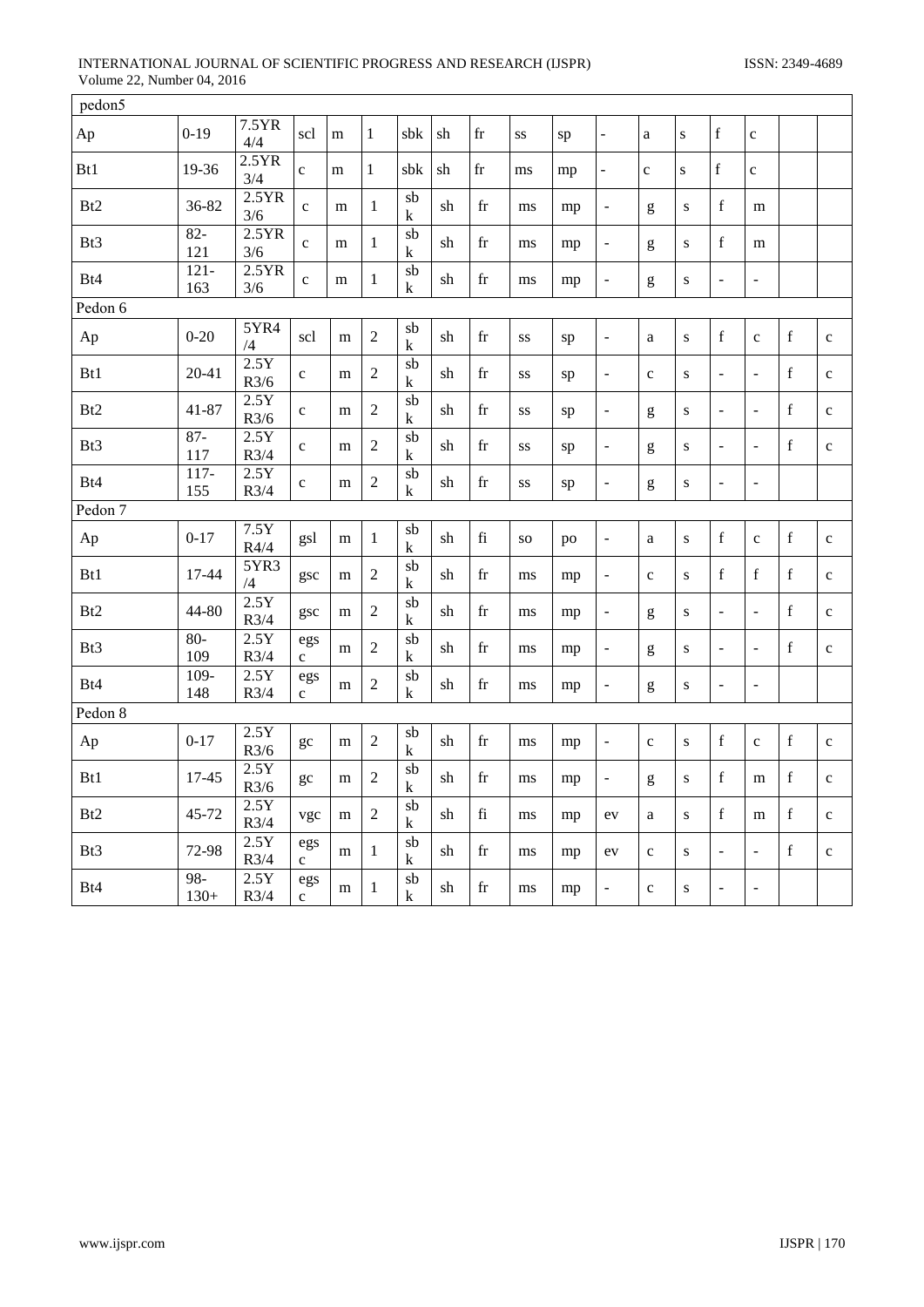# INTERNATIONAL JOURNAL OF SCIENTIFIC PROGRESS AND RESEARCH (IJSPR) ISSN: 2349-4689 Volume 22, Number 04, 2016

| pedon5          |                  |              |                    |           |                |                      |    |                     |           |    |                              |              |           |                          |                          |             |              |
|-----------------|------------------|--------------|--------------------|-----------|----------------|----------------------|----|---------------------|-----------|----|------------------------------|--------------|-----------|--------------------------|--------------------------|-------------|--------------|
| Ap              | $0 - 19$         | 7.5YR<br>4/4 | scl                | m         | $\mathbf{1}$   | sbk                  | sh | $\operatorname{fr}$ | SS        | sp | $\blacksquare$               | $\rm{a}$     | ${\bf S}$ | $\mathbf f$              | $\mathbf c$              |             |              |
| Bt1             | 19-36            | 2.5YR<br>3/4 | $\mathbf c$        | m         | $\mathbf{1}$   | sbk                  | sh | $\operatorname{fr}$ | ms        | mp | $\frac{1}{2}$                | $\mathbf c$  | ${\bf S}$ | $\mathbf f$              | $\mathbf c$              |             |              |
| B <sub>t2</sub> | 36-82            | 2.5YR<br>3/6 | $\mathbf c$        | m         | $\mathbf{1}$   | $\overline{sb}$<br>k | sh | $_{\rm fr}$         | ms        | mp | $\overline{\phantom{a}}$     | g            | S         | $\mathbf f$              | m                        |             |              |
| Bt3             | $82 -$<br>121    | 2.5YR<br>3/6 | $\mathbf{C}$       | m         | $\mathbf{1}$   | sb<br>k              | sh | fr                  | ms        | mp | $\overline{\phantom{a}}$     | g            | ${\bf S}$ | $\mathbf f$              | m                        |             |              |
| Bt4             | $121 -$<br>163   | 2.5YR<br>3/6 | $\mathbf c$        | m         | 1              | sb<br>$\mathbf k$    | sh | $\operatorname{fr}$ | ms        | mp | ÷,                           | g            | S         | $\overline{a}$           | $\sim$                   |             |              |
| Pedon 6         |                  |              |                    |           |                |                      |    |                     |           |    |                              |              |           |                          |                          |             |              |
| Ap              | $0 - 20$         | 5YR4<br>/4   | scl                | m         | $\sqrt{2}$     | sb<br>k              | sh | fr                  | SS        | sp | $\overline{\phantom{a}}$     | a            | ${\bf S}$ | $\mathbf f$              | $\mathbf{C}$             | $\mathbf f$ | $\mathbf c$  |
| Bt1             | $20 - 41$        | 2.5Y<br>R3/6 | $\mathbf c$        | m         | $\overline{2}$ | sb<br>$\mathbf k$    | sh | $_{\rm fr}$         | SS        | sp | $\Box$                       | $\mathbf c$  | S         | $\blacksquare$           | $\overline{a}$           | $\mathbf f$ | $\mathbf c$  |
| B <sub>t2</sub> | $41 - 87$        | 2.5Y<br>R3/6 | $\mathbf c$        | m         | $\sqrt{2}$     | $s$ b<br>k           | sh | $\operatorname{fr}$ | SS        | sp | $\overline{\phantom{a}}$     | g            | ${\bf S}$ | $\overline{\phantom{a}}$ | $\bar{\phantom{a}}$      | $\mathbf f$ | $\mathbf c$  |
| Bt3             | $87 -$<br>117    | 2.5Y<br>R3/4 | $\mathbf{C}$       | m         | $\overline{2}$ | sb<br>$\mathbf k$    | sh | $_{\rm fr}$         | SS        | sp | $\bar{\phantom{a}}$          | g            | S         | $\blacksquare$           | $\bar{\phantom{a}}$      | $\mathbf f$ | $\mathbf c$  |
| Bt4             | $117-$<br>155    | 2.5Y<br>R3/4 | $\mathbf c$        | ${\rm m}$ | $\sqrt{2}$     | $s$ b<br>$\mathbf k$ | sh | fr                  | SS        | sp | $\qquad \qquad \blacksquare$ | g            | ${\bf S}$ | $\blacksquare$           | $\bar{\phantom{a}}$      |             |              |
| Pedon 7         |                  |              |                    |           |                |                      |    |                     |           |    |                              |              |           |                          |                          |             |              |
| Ap              | $0 - 17$         | 7.5Y<br>R4/4 | gsl                | m         | $\mathbf{1}$   | sb<br>k              | sh | fi                  | <b>SO</b> | po | $\overline{\phantom{a}}$     | $\mathbf{a}$ | ${\bf S}$ | $\mathbf f$              | $\mathbf c$              | $\mathbf f$ | $\mathbf c$  |
| Bt1             | 17-44            | 5YR3<br>/4   | gsc                | m         | $\overline{2}$ | sb<br>k              | sh | $_{\rm fr}$         | ms        | mp | $\bar{\phantom{a}}$          | $\mathbf{C}$ | S         | $\mathbf f$              | $\mathbf f$              | $\mathbf f$ | $\mathbf c$  |
| B <sub>t2</sub> | 44-80            | 2.5Y<br>R3/4 | gsc                | m         | $\overline{2}$ | sb<br>k              | sh | fr                  | ms        | mp | $\overline{\phantom{a}}$     | g            | ${\bf S}$ | $\blacksquare$           | $\overline{\phantom{a}}$ | $\mathbf f$ | $\mathbf c$  |
| Bt3             | $80-$<br>109     | 2.5Y<br>R3/4 | egs<br>$\mathbf c$ | m         | $\overline{2}$ | sb<br>k              | sh | $_{\rm fr}$         | ms        | mp | $\overline{a}$               | g            | S         | $\frac{1}{2}$            | $\overline{\phantom{a}}$ | $\mathbf f$ | $\mathbf c$  |
| Bt4             | $109 -$<br>148   | 2.5Y<br>R3/4 | egs<br>$\mathbf c$ | m         | $\mathfrak{2}$ | sb<br>k              | sh | fr                  | ms        | mp | $\overline{a}$               | g            | S         | $\overline{\phantom{0}}$ | $\blacksquare$           |             |              |
| Pedon 8         |                  |              |                    |           |                |                      |    |                     |           |    |                              |              |           |                          |                          |             |              |
| Ap              | $0 - 17$         | 2.5Y<br>R3/6 | gc                 | m         | $\overline{2}$ | sb<br>$\mathbf k$    | sh | $_{\rm fr}$         | ms        | mp | $\Box$                       | $\mathbf{C}$ | ${\bf S}$ | $\mathbf f$              | $\mathbf{C}$             | $\mathbf f$ | $\mathbf c$  |
| Bt1             | 17-45            | 2.5Y<br>R3/6 | gc                 | m         | $\overline{2}$ | sb<br>k              | sh | fr                  | ms        | mp | $\qquad \qquad \blacksquare$ | g            | ${\bf S}$ | $\mathbf f$              | m                        | $\mathbf f$ | $\mathbf{C}$ |
| B <sub>t2</sub> | 45-72            | 2.5Y<br>R3/4 | vgc                | m         | $\overline{2}$ | sb<br>$\mathbf k$    | sh | $\rm{fi}$           | ms        | mp | ev                           | $\mathbf{a}$ | S         | $\mathbf f$              | m                        | $\mathbf f$ | $\mathbf{C}$ |
| Bt3             | 72-98            | 2.5Y<br>R3/4 | egs<br>$\mathbf c$ | m         | $\mathbf{1}$   | sb<br>$\mathbf k$    | sh | fr                  | ms        | mp | ev                           | $\mathbf{C}$ | S         | $\blacksquare$           | $\Box$                   | $\mathbf f$ | $\mathbf c$  |
| Bt4             | $98 -$<br>$130+$ | 2.5Y<br>R3/4 | egs<br>$\mathbf c$ | m         | $\mathbf{1}$   | $s$ b<br>k           | sh | $\operatorname{fr}$ | ms        | mp | ÷,                           | $\mathbf{C}$ | S         | $\overline{a}$           | $\overline{a}$           |             |              |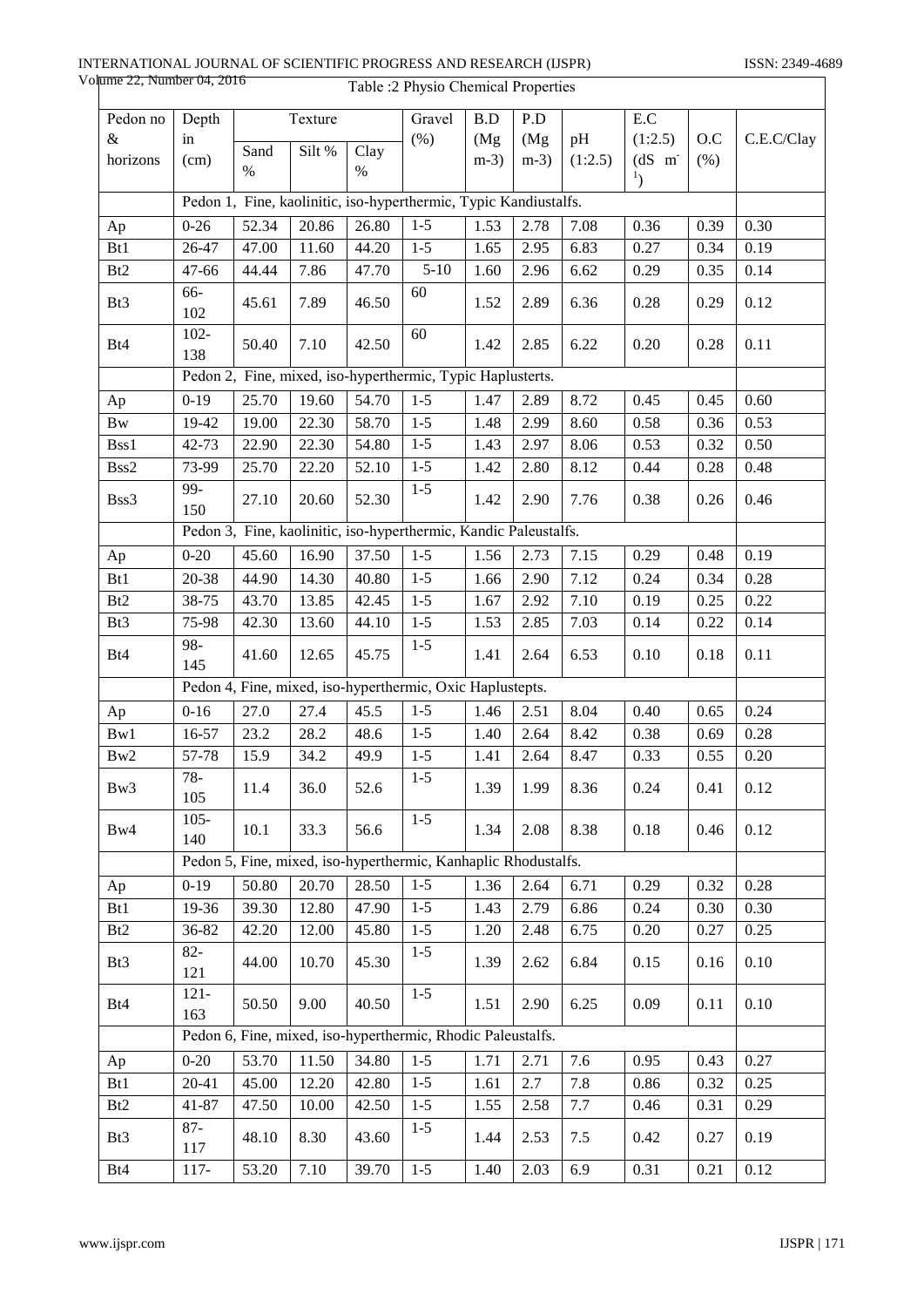| Pedon no               | Depth                                                      |       | Texture |       | Gravel                                                           | B.D    | P.D    |         | E.C                              |      |            |
|------------------------|------------------------------------------------------------|-------|---------|-------|------------------------------------------------------------------|--------|--------|---------|----------------------------------|------|------------|
| $\&$                   | in                                                         |       |         |       | (% )                                                             | (Mg)   | (Mg)   | pH      | (1:2.5)                          | O.C  | C.E.C/Clay |
| horizons               | (cm)                                                       | Sand  | Silt %  | Clay  |                                                                  | $m-3)$ | $m-3)$ | (1:2.5) | $(dS \ m)$                       | (% ) |            |
|                        |                                                            | $\%$  |         | $\%$  |                                                                  |        |        |         | $\mathbf{1}_{\left\{ \right\} }$ |      |            |
|                        |                                                            |       |         |       | Pedon 1, Fine, kaolinitic, iso-hyperthermic, Typic Kandiustalfs. |        |        |         |                                  |      |            |
| Ap                     | $0 - 26$                                                   | 52.34 | 20.86   | 26.80 | $1 - 5$                                                          | 1.53   | 2.78   | 7.08    | 0.36                             | 0.39 | 0.30       |
| Bt1                    | 26-47                                                      | 47.00 | 11.60   | 44.20 | $1 - 5$                                                          | 1.65   | 2.95   | 6.83    | 0.27                             | 0.34 | 0.19       |
| Bt2                    | 47-66                                                      | 44.44 | 7.86    | 47.70 | $5 - 10$                                                         | 1.60   | 2.96   | 6.62    | 0.29                             | 0.35 | 0.14       |
| Bt3                    | 66-<br>102                                                 | 45.61 | 7.89    | 46.50 | 60                                                               | 1.52   | 2.89   | 6.36    | 0.28                             | 0.29 | 0.12       |
| Bt4                    | $102 -$<br>138                                             | 50.40 | 7.10    | 42.50 | 60                                                               | 1.42   | 2.85   | 6.22    | 0.20                             | 0.28 | 0.11       |
|                        | Pedon 2, Fine, mixed, iso-hyperthermic, Typic Haplusterts. |       |         |       |                                                                  |        |        |         |                                  |      |            |
| Ap                     | $0 - 19$                                                   | 25.70 | 19.60   | 54.70 | $1 - 5$                                                          | 1.47   | 2.89   | 8.72    | 0.45                             | 0.45 | 0.60       |
| $\mathbf{B}\mathbf{w}$ | 19-42                                                      | 19.00 | 22.30   | 58.70 | $1-5$                                                            | 1.48   | 2.99   | 8.60    | 0.58                             | 0.36 | 0.53       |
| Bss1                   | 42-73                                                      | 22.90 | 22.30   | 54.80 | $1 - 5$                                                          | 1.43   | 2.97   | 8.06    | 0.53                             | 0.32 | 0.50       |
| Bss2                   | 73-99                                                      | 25.70 | 22.20   | 52.10 | $1 - 5$                                                          | 1.42   | 2.80   | 8.12    | 0.44                             | 0.28 | 0.48       |
| Bss3                   | 99-<br>150                                                 | 27.10 | 20.60   | 52.30 | $1-5$                                                            | 1.42   | 2.90   | 7.76    | 0.38                             | 0.26 | 0.46       |
|                        |                                                            |       |         |       | Pedon 3, Fine, kaolinitic, iso-hyperthermic, Kandic Paleustalfs. |        |        |         |                                  |      |            |
| Ap                     | $0 - 20$                                                   | 45.60 | 16.90   | 37.50 | $1 - 5$                                                          | 1.56   | 2.73   | 7.15    | 0.29                             | 0.48 | 0.19       |
| Bt1                    | 20-38                                                      | 44.90 | 14.30   | 40.80 | $1 - 5$                                                          | 1.66   | 2.90   | 7.12    | 0.24                             | 0.34 | 0.28       |
| Bt <sub>2</sub>        | 38-75                                                      | 43.70 | 13.85   | 42.45 | $1-5$                                                            | 1.67   | 2.92   | 7.10    | 0.19                             | 0.25 | 0.22       |
| Bt3                    | 75-98                                                      | 42.30 | 13.60   | 44.10 | $1-5$                                                            | 1.53   | 2.85   | 7.03    | 0.14                             | 0.22 | 0.14       |
| Bt4                    | 98-<br>145                                                 | 41.60 | 12.65   | 45.75 | $1 - 5$                                                          | 1.41   | 2.64   | 6.53    | 0.10                             | 0.18 | 0.11       |
|                        |                                                            |       |         |       | Pedon 4, Fine, mixed, iso-hyperthermic, Oxic Haplustepts.        |        |        |         |                                  |      |            |
| Ap                     | $0 - 16$                                                   | 27.0  | 27.4    | 45.5  | $1 - 5$                                                          | 1.46   | 2.51   | 8.04    | 0.40                             | 0.65 | 0.24       |
| Bw1                    | 16-57                                                      | 23.2  | 28.2    | 48.6  | $1 - 5$                                                          | 1.40   | 2.64   | 8.42    | 0.38                             | 0.69 | 0.28       |
| Bw2                    | 57-78                                                      | 15.9  | 34.2    | 49.9  | $1 - 5$                                                          | 1.41   | 2.64   | 8.47    | 0.33                             | 0.55 | 0.20       |
| Bw3                    | $78 -$<br>105                                              | 11.4  | 36.0    | 52.6  | $1 - 5$                                                          | 1.39   | 1.99   | 8.36    | 0.24                             | 0.41 | 0.12       |
| Bw4                    | $105 -$<br>140                                             | 10.1  | 33.3    | 56.6  | $1-5$                                                            | 1.34   | 2.08   | 8.38    | 0.18                             | 0.46 | 0.12       |
|                        |                                                            |       |         |       | Pedon 5, Fine, mixed, iso-hyperthermic, Kanhaplic Rhodustalfs.   |        |        |         |                                  |      |            |
| Ap                     | $0 - 19$                                                   | 50.80 | 20.70   | 28.50 | $1 - 5$                                                          | 1.36   | 2.64   | 6.71    | 0.29                             | 0.32 | 0.28       |
| Bt1                    | 19-36                                                      | 39.30 | 12.80   | 47.90 | $1 - 5$                                                          | 1.43   | 2.79   | 6.86    | 0.24                             | 0.30 | 0.30       |
| B <sub>t2</sub>        | 36-82                                                      | 42.20 | 12.00   | 45.80 | $1 - 5$                                                          | 1.20   | 2.48   | 6.75    | 0.20                             | 0.27 | 0.25       |
| Bt <sub>3</sub>        | $82 -$<br>121                                              | 44.00 | 10.70   | 45.30 | $1 - 5$                                                          | 1.39   | 2.62   | 6.84    | 0.15                             | 0.16 | 0.10       |
| Bt4                    | $121 -$<br>163                                             | 50.50 | 9.00    | 40.50 | $1 - 5$                                                          | 1.51   | 2.90   | 6.25    | 0.09                             | 0.11 | 0.10       |
|                        |                                                            |       |         |       | Pedon 6, Fine, mixed, iso-hyperthermic, Rhodic Paleustalfs.      |        |        |         |                                  |      |            |
| Ap                     | $0 - 20$                                                   | 53.70 | 11.50   | 34.80 | $1-5$                                                            | 1.71   | 2.71   | 7.6     | 0.95                             | 0.43 | 0.27       |
| Bt1                    | $20 - 41$                                                  | 45.00 | 12.20   | 42.80 | $1-5$                                                            | 1.61   | 2.7    | 7.8     | 0.86                             | 0.32 | 0.25       |
| Bt <sub>2</sub>        | 41-87                                                      | 47.50 | 10.00   | 42.50 | $1 - 5$                                                          | 1.55   | 2.58   | 7.7     | 0.46                             | 0.31 | 0.29       |
| Bt <sub>3</sub>        | $87 -$<br>117                                              | 48.10 | 8.30    | 43.60 | $1 - 5$                                                          | 1.44   | 2.53   | 7.5     | 0.42                             | 0.27 | 0.19       |
| Bt4                    | $117 -$                                                    | 53.20 | 7.10    | 39.70 | $1 - 5$                                                          | 1.40   | 2.03   | 6.9     | 0.31                             | 0.21 | 0.12       |

Table :2 Physio Chemical Properties